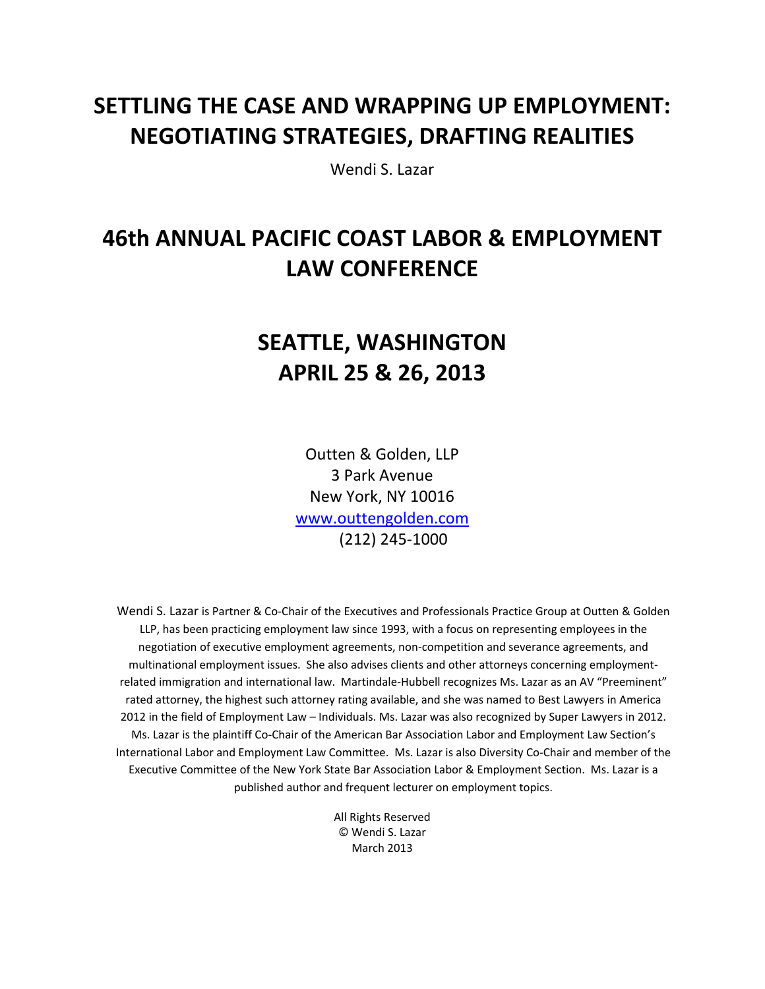# **SETTLING THE CASE AND WRAPPING UP EMPLOYMENT: NEGOTIATING STRATEGIES, DRAFTING REALITIES**

Wendi S. Lazar

# **46th ANNUAL PACIFIC COAST LABOR & EMPLOYMENT LAW CONFERENCE**

# **SEATTLE, WASHINGTON APRIL 25 & 26, 2013**

Outten & Golden, LLP 3 Park Avenue New York, NY 10016 www.outtengolden.com (212) 245‐1000

Wendi S. Lazar is Partner & Co‐Chair of the Executives and Professionals Practice Group at Outten & Golden LLP, has been practicing employment law since 1993, with a focus on representing employees in the negotiation of executive employment agreements, non‐competition and severance agreements, and multinational employment issues. She also advises clients and other attorneys concerning employment‐ related immigration and international law. Martindale‐Hubbell recognizes Ms. Lazar as an AV "Preeminent" rated attorney, the highest such attorney rating available, and she was named to Best Lawyers in America 2012 in the field of Employment Law – Individuals. Ms. Lazar was also recognized by Super Lawyers in 2012. Ms. Lazar is the plaintiff Co‐Chair of the American Bar Association Labor and Employment Law Section's International Labor and Employment Law Committee. Ms. Lazar is also Diversity Co‐Chair and member of the Executive Committee of the New York State Bar Association Labor & Employment Section. Ms. Lazar is a published author and frequent lecturer on employment topics.

> All Rights Reserved © Wendi S. Lazar March 2013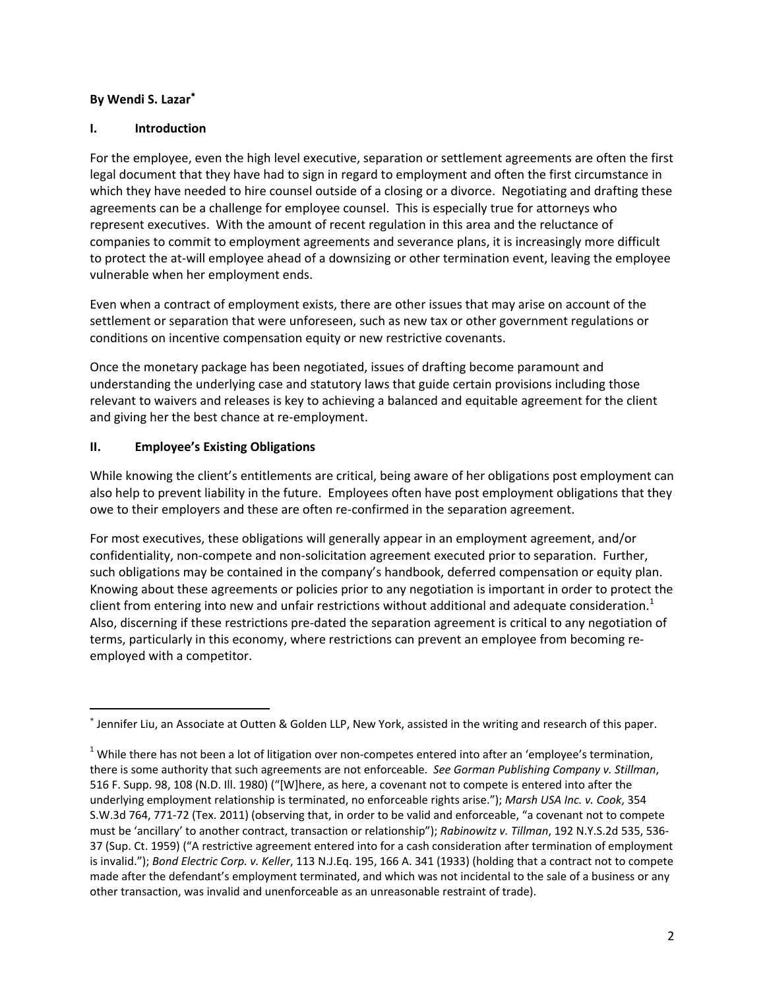## **By Wendi S. Lazar**

#### **I. Introduction**

For the employee, even the high level executive, separation or settlement agreements are often the first legal document that they have had to sign in regard to employment and often the first circumstance in which they have needed to hire counsel outside of a closing or a divorce. Negotiating and drafting these agreements can be a challenge for employee counsel. This is especially true for attorneys who represent executives. With the amount of recent regulation in this area and the reluctance of companies to commit to employment agreements and severance plans, it is increasingly more difficult to protect the at-will employee ahead of a downsizing or other termination event, leaving the employee vulnerable when her employment ends.

Even when a contract of employment exists, there are other issues that may arise on account of the settlement or separation that were unforeseen, such as new tax or other government regulations or conditions on incentive compensation equity or new restrictive covenants.

Once the monetary package has been negotiated, issues of drafting become paramount and understanding the underlying case and statutory laws that guide certain provisions including those relevant to waivers and releases is key to achieving a balanced and equitable agreement for the client and giving her the best chance at re‐employment.

## **II. Employee's Existing Obligations**

While knowing the client's entitlements are critical, being aware of her obligations post employment can also help to prevent liability in the future. Employees often have post employment obligations that they owe to their employers and these are often re‐confirmed in the separation agreement.

For most executives, these obligations will generally appear in an employment agreement, and/or confidentiality, non-compete and non-solicitation agreement executed prior to separation. Further, such obligations may be contained in the company's handbook, deferred compensation or equity plan. Knowing about these agreements or policies prior to any negotiation is important in order to protect the client from entering into new and unfair restrictions without additional and adequate consideration.<sup>1</sup> Also, discerning if these restrictions pre‐dated the separation agreement is critical to any negotiation of terms, particularly in this economy, where restrictions can prevent an employee from becoming re‐ employed with a competitor.

t Jennifer Liu, an Associate at Outten & Golden LLP, New York, assisted in the writing and research of this paper.

 $1$  While there has not been a lot of litigation over non-competes entered into after an 'employee's termination, there is some authority that such agreements are not enforceable. *See Gorman Publishing Company v. Stillman*, 516 F. Supp. 98, 108 (N.D. Ill. 1980) ("[W]here, as here, a covenant not to compete is entered into after the underlying employment relationship is terminated, no enforceable rights arise."); *Marsh USA Inc. v. Cook*, 354 S.W.3d 764, 771‐72 (Tex. 2011) (observing that, in order to be valid and enforceable, "a covenant not to compete must be 'ancillary' to another contract, transaction or relationship"); *Rabinowitz v. Tillman*, 192 N.Y.S.2d 535, 536‐ 37 (Sup. Ct. 1959) ("A restrictive agreement entered into for a cash consideration after termination of employment is invalid."); *Bond Electric Corp. v. Keller*, 113 N.J.Eq. 195, 166 A. 341 (1933) (holding that a contract not to compete made after the defendant's employment terminated, and which was not incidental to the sale of a business or any other transaction, was invalid and unenforceable as an unreasonable restraint of trade).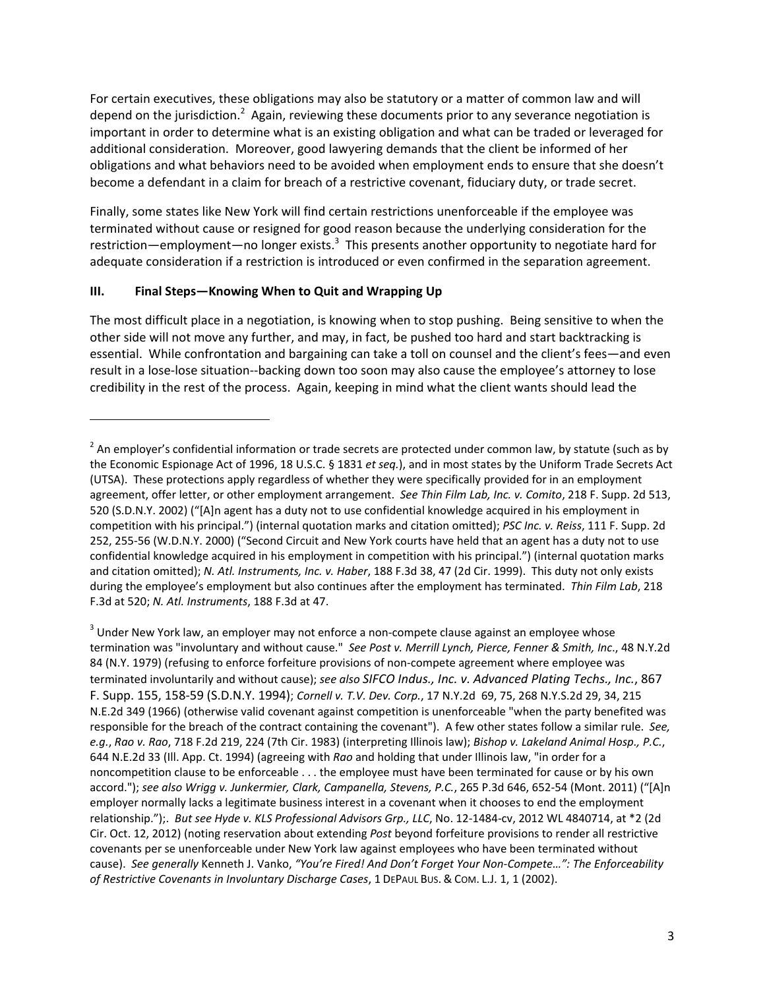For certain executives, these obligations may also be statutory or a matter of common law and will depend on the jurisdiction.<sup>2</sup> Again, reviewing these documents prior to any severance negotiation is important in order to determine what is an existing obligation and what can be traded or leveraged for additional consideration. Moreover, good lawyering demands that the client be informed of her obligations and what behaviors need to be avoided when employment ends to ensure that she doesn't become a defendant in a claim for breach of a restrictive covenant, fiduciary duty, or trade secret.

Finally, some states like New York will find certain restrictions unenforceable if the employee was terminated without cause or resigned for good reason because the underlying consideration for the restriction—employment—no longer exists.<sup>3</sup> This presents another opportunity to negotiate hard for adequate consideration if a restriction is introduced or even confirmed in the separation agreement.

## **III. Final Steps—Knowing When to Quit and Wrapping Up**

The most difficult place in a negotiation, is knowing when to stop pushing. Being sensitive to when the other side will not move any further, and may, in fact, be pushed too hard and start backtracking is essential. While confrontation and bargaining can take a toll on counsel and the client's fees—and even result in a lose‐lose situation‐‐backing down too soon may also cause the employee's attorney to lose credibility in the rest of the process. Again, keeping in mind what the client wants should lead the

<sup>3</sup> Under New York law, an employer may not enforce a non-compete clause against an employee whose termination was "involuntary and without cause." *See Post v. Merrill Lynch, Pierce, Fenner & Smith, Inc*., 48 N.Y.2d 84 (N.Y. 1979) (refusing to enforce forfeiture provisions of non-compete agreement where employee was terminated involuntarily and without cause); *see also SIFCO Indus., Inc. v. Advanced Plating Techs., Inc.*, 867 F. Supp. 155, 158‐59 (S.D.N.Y. 1994); *Cornell v. T.V. Dev. Corp.*, 17 N.Y.2d 69, 75, 268 N.Y.S.2d 29, 34, 215 N.E.2d 349 (1966) (otherwise valid covenant against competition is unenforceable "when the party benefited was responsible for the breach of the contract containing the covenant"). A few other states follow a similar rule. *See, e.g.*, *Rao v. Rao*, 718 F.2d 219, 224 (7th Cir. 1983) (interpreting Illinois law); *Bishop v. Lakeland Animal Hosp., P.C.*, 644 N.E.2d 33 (Ill. App. Ct. 1994) (agreeing with *Rao* and holding that under Illinois law, "in order for a noncompetition clause to be enforceable . . . the employee must have been terminated for cause or by his own accord."); *see also Wrigg v. Junkermier, Clark, Campanella, Stevens, P.C.*, 265 P.3d 646, 652‐54 (Mont. 2011) ("[A]n employer normally lacks a legitimate business interest in a covenant when it chooses to end the employment relationship.");. *But see Hyde v. KLS Professional Advisors Grp., LLC*, No. 12‐1484‐cv, 2012 WL 4840714, at \*2 (2d Cir. Oct. 12, 2012) (noting reservation about extending *Post* beyond forfeiture provisions to render all restrictive covenants per se unenforceable under New York law against employees who have been terminated without cause). *See generally* Kenneth J. Vanko, *"You're Fired! And Don't Forget Your Non‐Compete…": The Enforceability of Restrictive Covenants in Involuntary Discharge Cases*, 1 DEPAUL BUS. & COM. L.J. 1, 1 (2002).

 $2$  An employer's confidential information or trade secrets are protected under common law, by statute (such as by the Economic Espionage Act of 1996, 18 U.S.C. § 1831 *et seq.*), and in most states by the Uniform Trade Secrets Act (UTSA). These protections apply regardless of whether they were specifically provided for in an employment agreement, offer letter, or other employment arrangement. *See Thin Film Lab, Inc. v. Comito*, 218 F. Supp. 2d 513, 520 (S.D.N.Y. 2002) ("[A]n agent has a duty not to use confidential knowledge acquired in his employment in competition with his principal.") (internal quotation marks and citation omitted); *PSC Inc. v. Reiss*, 111 F. Supp. 2d 252, 255‐56 (W.D.N.Y. 2000) ("Second Circuit and New York courts have held that an agent has a duty not to use confidential knowledge acquired in his employment in competition with his principal.") (internal quotation marks and citation omitted); *N. Atl. Instruments, Inc. v. Haber*, 188 F.3d 38, 47 (2d Cir. 1999). This duty not only exists during the employee's employment but also continues after the employment has terminated. *Thin Film Lab*, 218 F.3d at 520; *N. Atl. Instruments*, 188 F.3d at 47.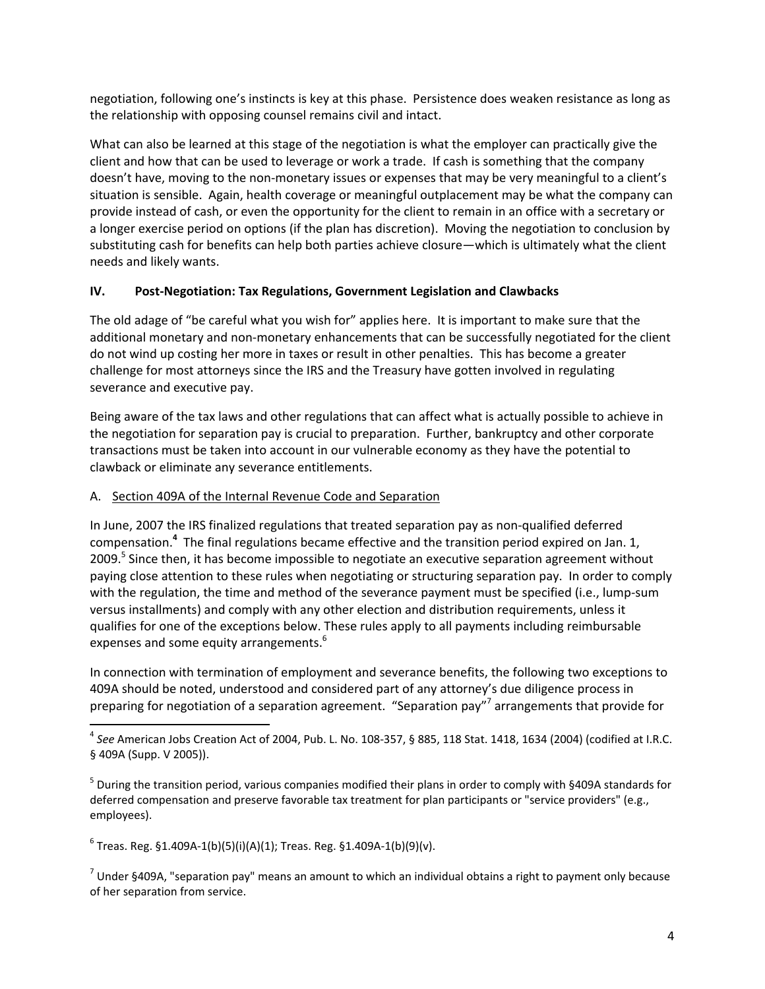negotiation, following one's instincts is key at this phase. Persistence does weaken resistance as long as the relationship with opposing counsel remains civil and intact.

What can also be learned at this stage of the negotiation is what the employer can practically give the client and how that can be used to leverage or work a trade. If cash is something that the company doesn't have, moving to the non-monetary issues or expenses that may be very meaningful to a client's situation is sensible. Again, health coverage or meaningful outplacement may be what the company can provide instead of cash, or even the opportunity for the client to remain in an office with a secretary or a longer exercise period on options (if the plan has discretion). Moving the negotiation to conclusion by substituting cash for benefits can help both parties achieve closure—which is ultimately what the client needs and likely wants.

### **IV. Post‐Negotiation: Tax Regulations, Government Legislation and Clawbacks**

The old adage of "be careful what you wish for" applies here. It is important to make sure that the additional monetary and non‐monetary enhancements that can be successfully negotiated for the client do not wind up costing her more in taxes or result in other penalties. This has become a greater challenge for most attorneys since the IRS and the Treasury have gotten involved in regulating severance and executive pay.

Being aware of the tax laws and other regulations that can affect what is actually possible to achieve in the negotiation for separation pay is crucial to preparation. Further, bankruptcy and other corporate transactions must be taken into account in our vulnerable economy as they have the potential to clawback or eliminate any severance entitlements.

## A. Section 409A of the Internal Revenue Code and Separation

In June, 2007 the IRS finalized regulations that treated separation pay as non-qualified deferred compensation.**<sup>4</sup>** The final regulations became effective and the transition period expired on Jan. 1, 2009.<sup>5</sup> Since then, it has become impossible to negotiate an executive separation agreement without paying close attention to these rules when negotiating or structuring separation pay. In order to comply with the regulation, the time and method of the severance payment must be specified (i.e., lump‐sum versus installments) and comply with any other election and distribution requirements, unless it qualifies for one of the exceptions below. These rules apply to all payments including reimbursable expenses and some equity arrangements.<sup>6</sup>

In connection with termination of employment and severance benefits, the following two exceptions to 409A should be noted, understood and considered part of any attorney's due diligence process in preparing for negotiation of a separation agreement. "Separation pay"<sup>7</sup> arrangements that provide for

 $6$  Treas. Reg. §1.409A-1(b)(5)(i)(A)(1); Treas. Reg. §1.409A-1(b)(9)(v).

 $7$  Under §409A, "separation pay" means an amount to which an individual obtains a right to payment only because of her separation from service.

<sup>4</sup> *See* American Jobs Creation Act of 2004, Pub. L. No. 108‐357, § 885, 118 Stat. 1418, 1634 (2004) (codified at I.R.C. § 409A (Supp. V 2005)).

 $^5$  During the transition period, various companies modified their plans in order to comply with §409A standards for deferred compensation and preserve favorable tax treatment for plan participants or "service providers" (e.g., employees).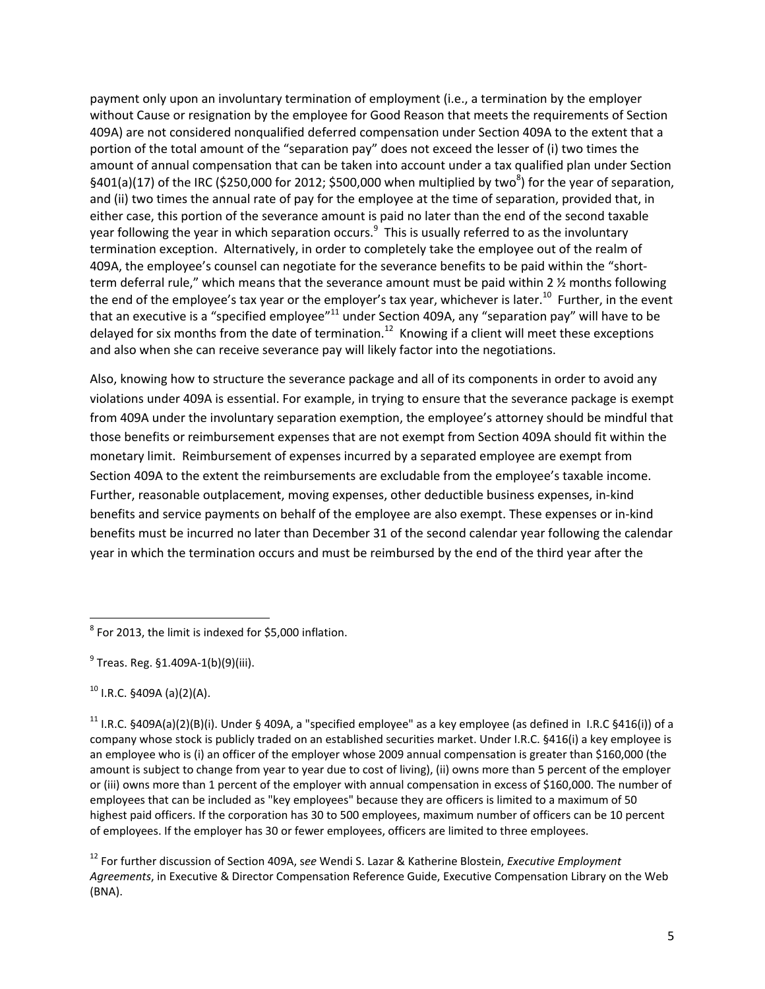payment only upon an involuntary termination of employment (i.e., a termination by the employer without Cause or resignation by the employee for Good Reason that meets the requirements of Section 409A) are not considered nonqualified deferred compensation under Section 409A to the extent that a portion of the total amount of the "separation pay" does not exceed the lesser of (i) two times the amount of annual compensation that can be taken into account under a tax qualified plan under Section §401(a)(17) of the IRC (\$250,000 for 2012; \$500,000 when multiplied by two<sup>8</sup>) for the year of separation, and (ii) two times the annual rate of pay for the employee at the time of separation, provided that, in either case, this portion of the severance amount is paid no later than the end of the second taxable year following the year in which separation occurs.<sup>9</sup> This is usually referred to as the involuntary termination exception. Alternatively, in order to completely take the employee out of the realm of 409A, the employee's counsel can negotiate for the severance benefits to be paid within the "short‐ term deferral rule," which means that the severance amount must be paid within 2 ½ months following the end of the employee's tax year or the employer's tax year, whichever is later.<sup>10</sup> Further, in the event that an executive is a "specified employee"<sup>11</sup> under Section 409A, any "separation pay" will have to be delayed for six months from the date of termination.<sup>12</sup> Knowing if a client will meet these exceptions and also when she can receive severance pay will likely factor into the negotiations.

Also, knowing how to structure the severance package and all of its components in order to avoid any violations under 409A is essential. For example, in trying to ensure that the severance package is exempt from 409A under the involuntary separation exemption, the employee's attorney should be mindful that those benefits or reimbursement expenses that are not exempt from Section 409A should fit within the monetary limit. Reimbursement of expenses incurred by a separated employee are exempt from Section 409A to the extent the reimbursements are excludable from the employee's taxable income. Further, reasonable outplacement, moving expenses, other deductible business expenses, in‐kind benefits and service payments on behalf of the employee are also exempt. These expenses or in‐kind benefits must be incurred no later than December 31 of the second calendar year following the calendar year in which the termination occurs and must be reimbursed by the end of the third year after the

 $10$  I.R.C. §409A (a)(2)(A).

 $8$  For 2013, the limit is indexed for \$5,000 inflation.

 $^{9}$  Treas. Reg. §1.409A-1(b)(9)(iii).

<sup>&</sup>lt;sup>11</sup> I.R.C. §409A(a)(2)(B)(i). Under § 409A, a "specified employee" as a key employee (as defined in I.R.C §416(i)) of a company whose stock is publicly traded on an established securities market. Under I.R.C. §416(i) a key employee is an employee who is (i) an officer of the employer whose 2009 annual compensation is greater than \$160,000 (the amount is subject to change from year to year due to cost of living), (ii) owns more than 5 percent of the employer or (iii) owns more than 1 percent of the employer with annual compensation in excess of \$160,000. The number of employees that can be included as "key employees" because they are officers is limited to a maximum of 50 highest paid officers. If the corporation has 30 to 500 employees, maximum number of officers can be 10 percent of employees. If the employer has 30 or fewer employees, officers are limited to three employees.

<sup>12</sup> For further discussion of Section 409A, s*ee* Wendi S. Lazar & Katherine Blostein, *Executive Employment Agreements*, in Executive & Director Compensation Reference Guide, Executive Compensation Library on the Web (BNA).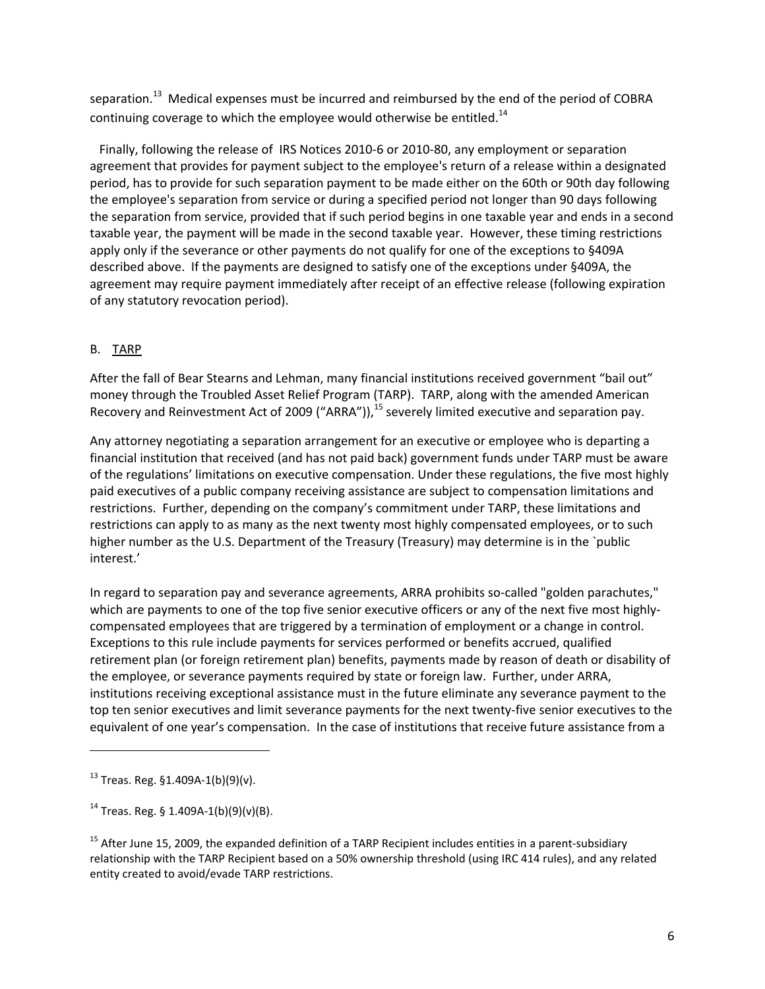separation.<sup>13</sup> Medical expenses must be incurred and reimbursed by the end of the period of COBRA continuing coverage to which the employee would otherwise be entitled.<sup>14</sup>

Finally, following the release of IRS Notices 2010‐6 or 2010‐80, any employment or separation agreement that provides for payment subject to the employee's return of a release within a designated period, has to provide for such separation payment to be made either on the 60th or 90th day following the employee's separation from service or during a specified period not longer than 90 days following the separation from service, provided that if such period begins in one taxable year and ends in a second taxable year, the payment will be made in the second taxable year. However, these timing restrictions apply only if the severance or other payments do not qualify for one of the exceptions to §409A described above. If the payments are designed to satisfy one of the exceptions under §409A, the agreement may require payment immediately after receipt of an effective release (following expiration of any statutory revocation period).

## B. TARP

After the fall of Bear Stearns and Lehman, many financial institutions received government "bail out" money through the Troubled Asset Relief Program (TARP). TARP, along with the amended American Recovery and Reinvestment Act of 2009 ("ARRA")),<sup>15</sup> severely limited executive and separation pay.

Any attorney negotiating a separation arrangement for an executive or employee who is departing a financial institution that received (and has not paid back) government funds under TARP must be aware of the regulations' limitations on executive compensation. Under these regulations, the five most highly paid executives of a public company receiving assistance are subject to compensation limitations and restrictions. Further, depending on the company's commitment under TARP, these limitations and restrictions can apply to as many as the next twenty most highly compensated employees, or to such higher number as the U.S. Department of the Treasury (Treasury) may determine is in the `public interest.'

In regard to separation pay and severance agreements, ARRA prohibits so‐called "golden parachutes," which are payments to one of the top five senior executive officers or any of the next five most highlycompensated employees that are triggered by a termination of employment or a change in control. Exceptions to this rule include payments for services performed or benefits accrued, qualified retirement plan (or foreign retirement plan) benefits, payments made by reason of death or disability of the employee, or severance payments required by state or foreign law. Further, under ARRA, institutions receiving exceptional assistance must in the future eliminate any severance payment to the top ten senior executives and limit severance payments for the next twenty-five senior executives to the equivalent of one year's compensation. In the case of institutions that receive future assistance from a

 $13$  Treas. Reg. §1.409A-1(b)(9)(v).

<sup>&</sup>lt;sup>14</sup> Treas. Reg. § 1.409A-1(b)(9)(v)(B).

<sup>&</sup>lt;sup>15</sup> After June 15, 2009, the expanded definition of a TARP Recipient includes entities in a parent-subsidiary relationship with the TARP Recipient based on a 50% ownership threshold (using IRC 414 rules), and any related entity created to avoid/evade TARP restrictions.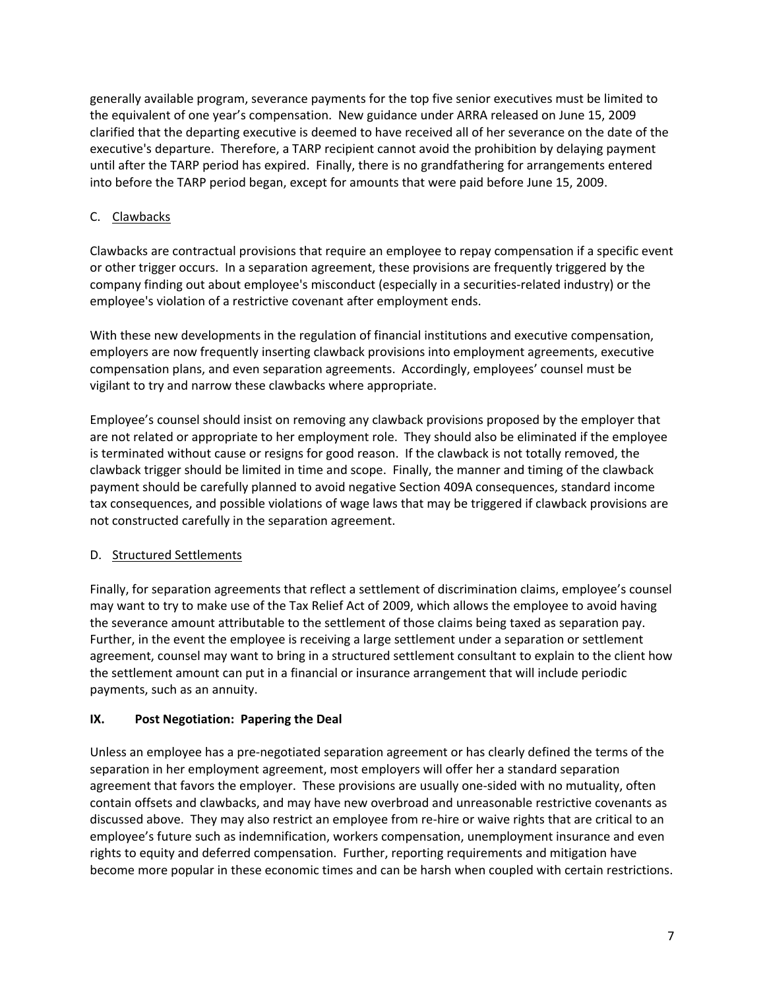generally available program, severance payments for the top five senior executives must be limited to the equivalent of one year's compensation. New guidance under ARRA released on June 15, 2009 clarified that the departing executive is deemed to have received all of her severance on the date of the executive's departure. Therefore, a TARP recipient cannot avoid the prohibition by delaying payment until after the TARP period has expired. Finally, there is no grandfathering for arrangements entered into before the TARP period began, except for amounts that were paid before June 15, 2009.

## C. Clawbacks

Clawbacks are contractual provisions that require an employee to repay compensation if a specific event or other trigger occurs. In a separation agreement, these provisions are frequently triggered by the company finding out about employee's misconduct (especially in a securities-related industry) or the employee's violation of a restrictive covenant after employment ends.

With these new developments in the regulation of financial institutions and executive compensation, employers are now frequently inserting clawback provisions into employment agreements, executive compensation plans, and even separation agreements. Accordingly, employees' counsel must be vigilant to try and narrow these clawbacks where appropriate.

Employee's counsel should insist on removing any clawback provisions proposed by the employer that are not related or appropriate to her employment role. They should also be eliminated if the employee is terminated without cause or resigns for good reason. If the clawback is not totally removed, the clawback trigger should be limited in time and scope. Finally, the manner and timing of the clawback payment should be carefully planned to avoid negative Section 409A consequences, standard income tax consequences, and possible violations of wage laws that may be triggered if clawback provisions are not constructed carefully in the separation agreement.

## D. Structured Settlements

Finally, for separation agreements that reflect a settlement of discrimination claims, employee's counsel may want to try to make use of the Tax Relief Act of 2009, which allows the employee to avoid having the severance amount attributable to the settlement of those claims being taxed as separation pay. Further, in the event the employee is receiving a large settlement under a separation or settlement agreement, counsel may want to bring in a structured settlement consultant to explain to the client how the settlement amount can put in a financial or insurance arrangement that will include periodic payments, such as an annuity.

## **IX. Post Negotiation: Papering the Deal**

Unless an employee has a pre‐negotiated separation agreement or has clearly defined the terms of the separation in her employment agreement, most employers will offer her a standard separation agreement that favors the employer. These provisions are usually one‐sided with no mutuality, often contain offsets and clawbacks, and may have new overbroad and unreasonable restrictive covenants as discussed above. They may also restrict an employee from re‐hire or waive rights that are critical to an employee's future such as indemnification, workers compensation, unemployment insurance and even rights to equity and deferred compensation. Further, reporting requirements and mitigation have become more popular in these economic times and can be harsh when coupled with certain restrictions.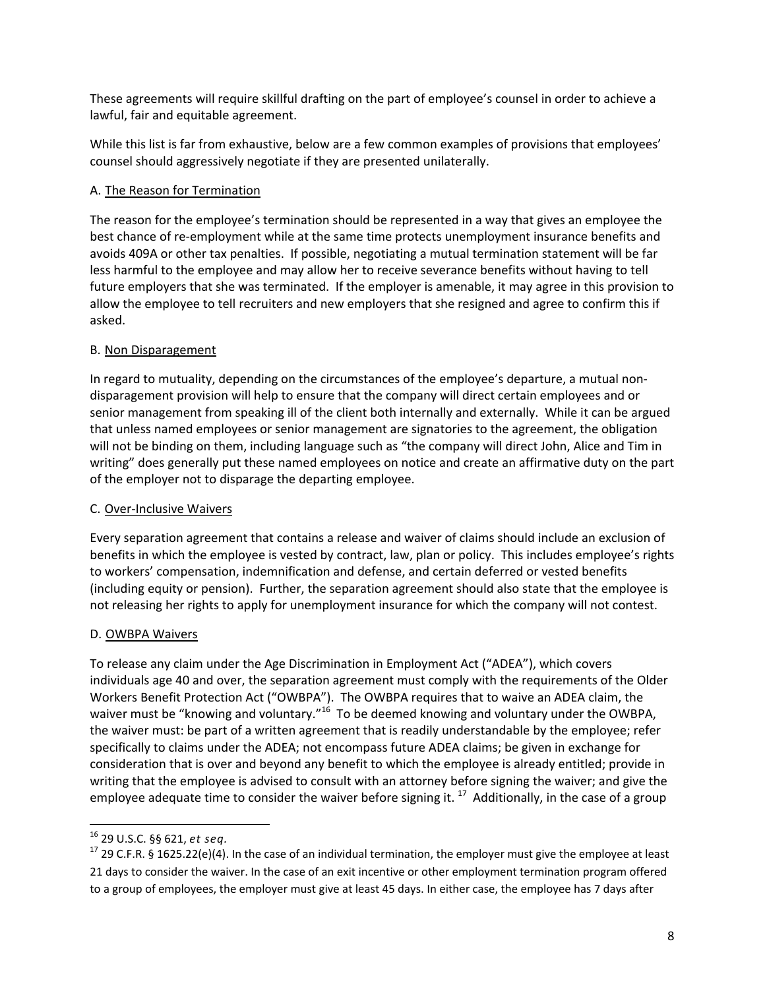These agreements will require skillful drafting on the part of employee's counsel in order to achieve a lawful, fair and equitable agreement.

While this list is far from exhaustive, below are a few common examples of provisions that employees' counsel should aggressively negotiate if they are presented unilaterally.

## A. The Reason for Termination

The reason for the employee's termination should be represented in a way that gives an employee the best chance of re‐employment while at the same time protects unemployment insurance benefits and avoids 409A or other tax penalties. If possible, negotiating a mutual termination statement will be far less harmful to the employee and may allow her to receive severance benefits without having to tell future employers that she was terminated. If the employer is amenable, it may agree in this provision to allow the employee to tell recruiters and new employers that she resigned and agree to confirm this if asked.

## B. Non Disparagement

In regard to mutuality, depending on the circumstances of the employee's departure, a mutual non‐ disparagement provision will help to ensure that the company will direct certain employees and or senior management from speaking ill of the client both internally and externally. While it can be argued that unless named employees or senior management are signatories to the agreement, the obligation will not be binding on them, including language such as "the company will direct John, Alice and Tim in writing" does generally put these named employees on notice and create an affirmative duty on the part of the employer not to disparage the departing employee.

## C. Over‐Inclusive Waivers

Every separation agreement that contains a release and waiver of claims should include an exclusion of benefits in which the employee is vested by contract, law, plan or policy. This includes employee's rights to workers' compensation, indemnification and defense, and certain deferred or vested benefits (including equity or pension). Further, the separation agreement should also state that the employee is not releasing her rights to apply for unemployment insurance for which the company will not contest.

## D. OWBPA Waivers

To release any claim under the Age Discrimination in Employment Act ("ADEA"), which covers individuals age 40 and over, the separation agreement must comply with the requirements of the Older Workers Benefit Protection Act ("OWBPA"). The OWBPA requires that to waive an ADEA claim, the waiver must be "knowing and voluntary."<sup>16</sup> To be deemed knowing and voluntary under the OWBPA, the waiver must: be part of a written agreement that is readily understandable by the employee; refer specifically to claims under the ADEA; not encompass future ADEA claims; be given in exchange for consideration that is over and beyond any benefit to which the employee is already entitled; provide in writing that the employee is advised to consult with an attorney before signing the waiver; and give the employee adequate time to consider the waiver before signing it.  $^{17}$  Additionally, in the case of a group

<sup>&</sup>lt;sup>16</sup> 29 U.S.C. §§ 621, *et seq.*<br><sup>17</sup> 29 C.F.R. § 1625.22(e)(4). In the case of an individual termination, the employer must give the employee at least 21 days to consider the waiver. In the case of an exit incentive or other employment termination program offered to a group of employees, the employer must give at least 45 days. In either case, the employee has 7 days after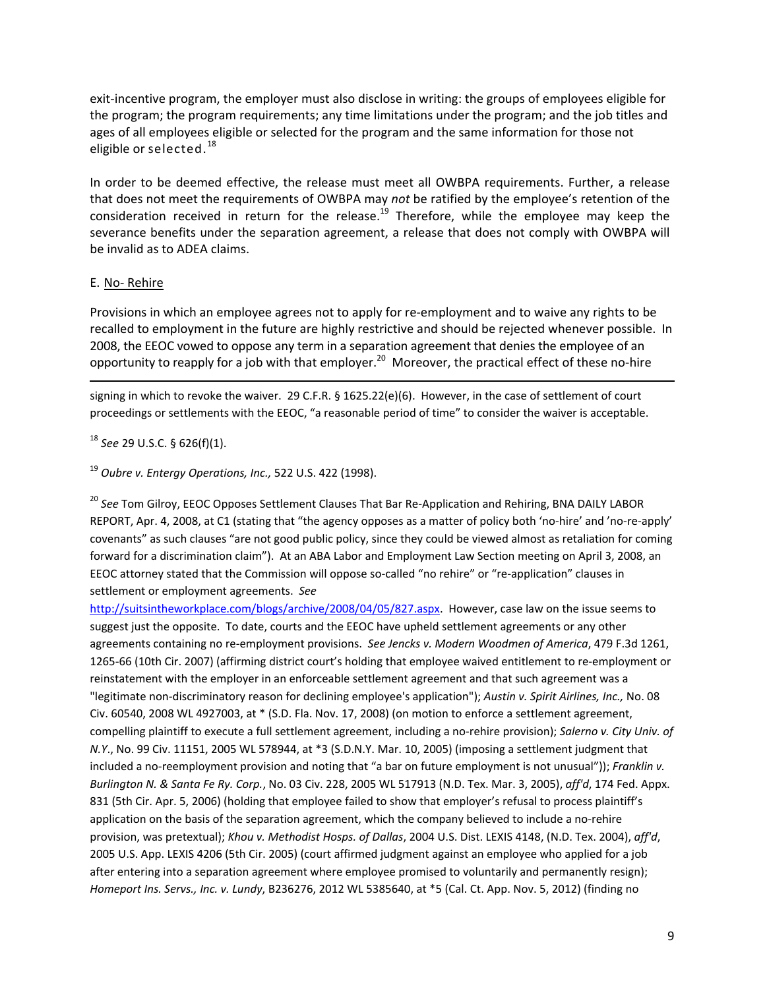exit-incentive program, the employer must also disclose in writing: the groups of employees eligible for the program; the program requirements; any time limitations under the program; and the job titles and ages of all employees eligible or selected for the program and the same information for those not eligible or selected.<sup>18</sup>

In order to be deemed effective, the release must meet all OWBPA requirements. Further, a release that does not meet the requirements of OWBPA may *not* be ratified by the employee's retention of the consideration received in return for the release.<sup>19</sup> Therefore, while the employee may keep the severance benefits under the separation agreement, a release that does not comply with OWBPA will be invalid as to ADEA claims.

#### E. No‐ Rehire

Provisions in which an employee agrees not to apply for re‐employment and to waive any rights to be recalled to employment in the future are highly restrictive and should be rejected whenever possible. In 2008, the EEOC vowed to oppose any term in a separation agreement that denies the employee of an opportunity to reapply for a job with that employer.<sup>20</sup> Moreover, the practical effect of these no-hire

<u> Andrewski politika (za obrazu pod predsjednika u predsjednika u predsjednika u predsjednika (za obrazu pod p</u>

signing in which to revoke the waiver. 29 C.F.R. § 1625.22(e)(6). However, in the case of settlement of court proceedings or settlements with the EEOC, "a reasonable period of time" to consider the waiver is acceptable.

<sup>18</sup> *See* 29 U.S.C. § 626(f)(1).

#### <sup>19</sup> *Oubre v. Entergy Operations, Inc.,* 522 U.S. 422 (1998).

<sup>20</sup> See Tom Gilroy, EEOC Opposes Settlement Clauses That Bar Re-Application and Rehiring, BNA DAILY LABOR REPORT, Apr. 4, 2008, at C1 (stating that "the agency opposes as a matter of policy both 'no‐hire' and 'no‐re‐apply' covenants" as such clauses "are not good public policy, since they could be viewed almost as retaliation for coming forward for a discrimination claim"). At an ABA Labor and Employment Law Section meeting on April 3, 2008, an EEOC attorney stated that the Commission will oppose so-called "no rehire" or "re-application" clauses in settlement or employment agreements. *See*

http://suitsintheworkplace.com/blogs/archive/2008/04/05/827.aspx. However, case law on the issue seems to suggest just the opposite. To date, courts and the EEOC have upheld settlement agreements or any other agreements containing no re‐employment provisions. *See Jencks v. Modern Woodmen of America*, 479 F.3d 1261, 1265-66 (10th Cir. 2007) (affirming district court's holding that employee waived entitlement to re-employment or reinstatement with the employer in an enforceable settlement agreement and that such agreement was a "legitimate non‐discriminatory reason for declining employee's application"); *Austin v. Spirit Airlines, Inc.,* No. 08 Civ. 60540, 2008 WL 4927003, at \* (S.D. Fla. Nov. 17, 2008) (on motion to enforce a settlement agreement, compelling plaintiff to execute a full settlement agreement, including a no‐rehire provision); *Salerno v. City Univ. of N.Y*., No. 99 Civ. 11151, 2005 WL 578944, at \*3 (S.D.N.Y. Mar. 10, 2005) (imposing a settlement judgment that included a no‐reemployment provision and noting that "a bar on future employment is not unusual")); *Franklin v. Burlington N. & Santa Fe Ry. Corp.*, No. 03 Civ. 228, 2005 WL 517913 (N.D. Tex. Mar. 3, 2005), *aff'd*, 174 Fed. Appx. 831 (5th Cir. Apr. 5, 2006) (holding that employee failed to show that employer's refusal to process plaintiff's application on the basis of the separation agreement, which the company believed to include a no-rehire provision, was pretextual); *Khou v. Methodist Hosps. of Dallas*, 2004 U.S. Dist. LEXIS 4148, (N.D. Tex. 2004), *aff'd*, 2005 U.S. App. LEXIS 4206 (5th Cir. 2005) (court affirmed judgment against an employee who applied for a job after entering into a separation agreement where employee promised to voluntarily and permanently resign); *Homeport Ins. Servs., Inc. v. Lundy*, B236276, 2012 WL 5385640, at \*5 (Cal. Ct. App. Nov. 5, 2012) (finding no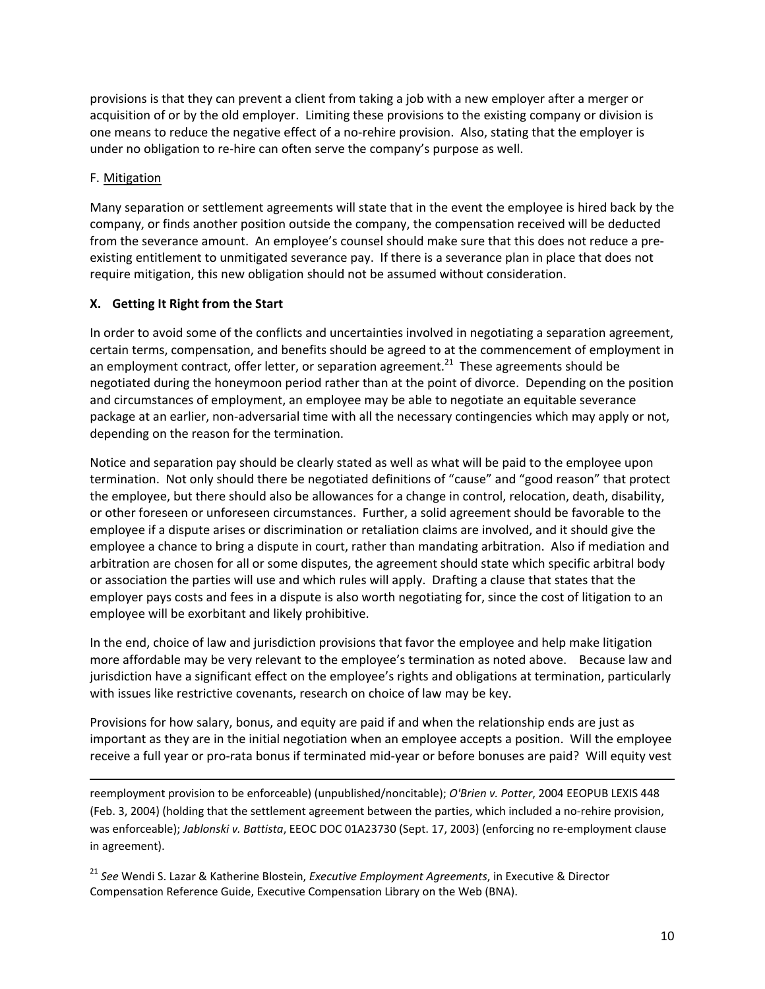provisions is that they can prevent a client from taking a job with a new employer after a merger or acquisition of or by the old employer. Limiting these provisions to the existing company or division is one means to reduce the negative effect of a no‐rehire provision. Also, stating that the employer is under no obligation to re‐hire can often serve the company's purpose as well.

### F. Mitigation

Many separation or settlement agreements will state that in the event the employee is hired back by the company, or finds another position outside the company, the compensation received will be deducted from the severance amount. An employee's counsel should make sure that this does not reduce a preexisting entitlement to unmitigated severance pay. If there is a severance plan in place that does not require mitigation, this new obligation should not be assumed without consideration.

### **X. Getting It Right from the Start**

In order to avoid some of the conflicts and uncertainties involved in negotiating a separation agreement, certain terms, compensation, and benefits should be agreed to at the commencement of employment in an employment contract, offer letter, or separation agreement.<sup>21</sup> These agreements should be negotiated during the honeymoon period rather than at the point of divorce. Depending on the position and circumstances of employment, an employee may be able to negotiate an equitable severance package at an earlier, non‐adversarial time with all the necessary contingencies which may apply or not, depending on the reason for the termination.

Notice and separation pay should be clearly stated as well as what will be paid to the employee upon termination. Not only should there be negotiated definitions of "cause" and "good reason" that protect the employee, but there should also be allowances for a change in control, relocation, death, disability, or other foreseen or unforeseen circumstances. Further, a solid agreement should be favorable to the employee if a dispute arises or discrimination or retaliation claims are involved, and it should give the employee a chance to bring a dispute in court, rather than mandating arbitration. Also if mediation and arbitration are chosen for all or some disputes, the agreement should state which specific arbitral body or association the parties will use and which rules will apply. Drafting a clause that states that the employer pays costs and fees in a dispute is also worth negotiating for, since the cost of litigation to an employee will be exorbitant and likely prohibitive.

In the end, choice of law and jurisdiction provisions that favor the employee and help make litigation more affordable may be very relevant to the employee's termination as noted above. Because law and jurisdiction have a significant effect on the employee's rights and obligations at termination, particularly with issues like restrictive covenants, research on choice of law may be key.

Provisions for how salary, bonus, and equity are paid if and when the relationship ends are just as important as they are in the initial negotiation when an employee accepts a position. Will the employee receive a full year or pro‐rata bonus if terminated mid‐year or before bonuses are paid? Will equity vest

<u> Andrewski politika (za obrazu pod predsjednika u predsjednika u predsjednika u predsjednika (za obrazu pod p</u>

reemployment provision to be enforceable) (unpublished/noncitable); *O'Brien v. Potter*, 2004 EEOPUB LEXIS 448 (Feb. 3, 2004) (holding that the settlement agreement between the parties, which included a no‐rehire provision, was enforceable); *Jablonski v. Battista*, EEOC DOC 01A23730 (Sept. 17, 2003) (enforcing no re‐employment clause in agreement).

<sup>21</sup> *See* Wendi S. Lazar & Katherine Blostein, *Executive Employment Agreements*, in Executive & Director Compensation Reference Guide, Executive Compensation Library on the Web (BNA).